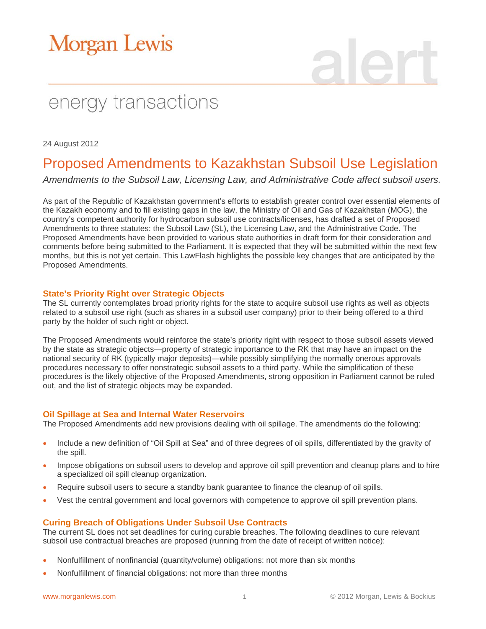# **Morgan Lewis**

## energy transactions

24 August 2012

### Proposed Amendments to Kazakhstan Subsoil Use Legislation

*Amendments to the Subsoil Law, Licensing Law, and Administrative Code affect subsoil users.* 

As part of the Republic of Kazakhstan government's efforts to establish greater control over essential elements of the Kazakh economy and to fill existing gaps in the law, the Ministry of Oil and Gas of Kazakhstan (MOG), the country's competent authority for hydrocarbon subsoil use contracts/licenses, has drafted a set of Proposed Amendments to three statutes: the Subsoil Law (SL), the Licensing Law, and the Administrative Code. The Proposed Amendments have been provided to various state authorities in draft form for their consideration and comments before being submitted to the Parliament. It is expected that they will be submitted within the next few months, but this is not yet certain. This LawFlash highlights the possible key changes that are anticipated by the Proposed Amendments.

#### **State's Priority Right over Strategic Objects**

The SL currently contemplates broad priority rights for the state to acquire subsoil use rights as well as objects related to a subsoil use right (such as shares in a subsoil user company) prior to their being offered to a third party by the holder of such right or object.

The Proposed Amendments would reinforce the state's priority right with respect to those subsoil assets viewed by the state as strategic objects—property of strategic importance to the RK that may have an impact on the national security of RK (typically major deposits)—while possibly simplifying the normally onerous approvals procedures necessary to offer nonstrategic subsoil assets to a third party. While the simplification of these procedures is the likely objective of the Proposed Amendments, strong opposition in Parliament cannot be ruled out, and the list of strategic objects may be expanded.

#### **Oil Spillage at Sea and Internal Water Reservoirs**

The Proposed Amendments add new provisions dealing with oil spillage. The amendments do the following:

- Include a new definition of "Oil Spill at Sea" and of three degrees of oil spills, differentiated by the gravity of the spill.
- Impose obligations on subsoil users to develop and approve oil spill prevention and cleanup plans and to hire a specialized oil spill cleanup organization.
- Require subsoil users to secure a standby bank guarantee to finance the cleanup of oil spills.
- Vest the central government and local governors with competence to approve oil spill prevention plans.

#### **Curing Breach of Obligations Under Subsoil Use Contracts**

The current SL does not set deadlines for curing curable breaches. The following deadlines to cure relevant subsoil use contractual breaches are proposed (running from the date of receipt of written notice):

- Nonfulfillment of nonfinancial (quantity/volume) obligations: not more than six months
- Nonfulfillment of financial obligations: not more than three months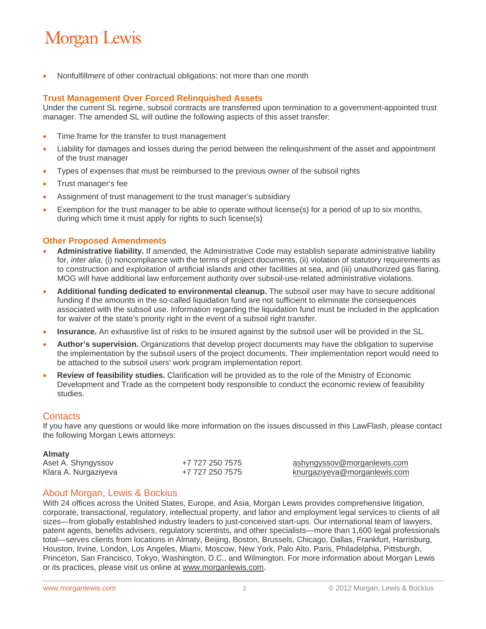### **Morgan Lewis**

Nonfulfillment of other contractual obligations: not more than one month

#### **Trust Management Over Forced Relinquished Assets**

Under the current SL regime, subsoil contracts are transferred upon termination to a government-appointed trust manager. The amended SL will outline the following aspects of this asset transfer:

- Time frame for the transfer to trust management
- Liability for damages and losses during the period between the relinquishment of the asset and appointment of the trust manager
- Types of expenses that must be reimbursed to the previous owner of the subsoil rights
- Trust manager's fee
- Assignment of trust management to the trust manager's subsidiary
- Exemption for the trust manager to be able to operate without license(s) for a period of up to six months, during which time it must apply for rights to such license(s)

#### **Other Proposed Amendments**

- **Administrative liability.** If amended, the Administrative Code may establish separate administrative liability for, *inter alia*, (i) noncompliance with the terms of project documents, (ii) violation of statutory requirements as to construction and exploitation of artificial islands and other facilities at sea, and (iii) unauthorized gas flaring. MOG will have additional law enforcement authority over subsoil-use-related administrative violations.
- **Additional funding dedicated to environmental cleanup.** The subsoil user may have to secure additional funding if the amounts in the so-called liquidation fund are not sufficient to eliminate the consequences associated with the subsoil use. Information regarding the liquidation fund must be included in the application for waiver of the state's priority right in the event of a subsoil right transfer.
- **Insurance.** An exhaustive list of risks to be insured against by the subsoil user will be provided in the SL.
- **Author's supervision.** Organizations that develop project documents may have the obligation to supervise the implementation by the subsoil users of the project documents. Their implementation report would need to be attached to the subsoil users' work program implementation report.
- **Review of feasibility studies.** Clarification will be provided as to the role of the Ministry of Economic Development and Trade as the competent body responsible to conduct the economic review of feasibility studies.

#### **Contacts**

If you have any questions or would like more information on the issues discussed in this LawFlash, please contact the following Morgan Lewis attorneys:

#### **Almaty**

| Aset A. Shyngyssov   | +7 727 250 7575 | ashyngyssov@morganlewis.com  |
|----------------------|-----------------|------------------------------|
| Klara A. Nurgaziyeva | +7 727 250 7575 | knurgaziyeva@morganlewis.com |

#### About Morgan, Lewis & Bockius

With 24 offices across the United States, Europe, and Asia, Morgan Lewis provides comprehensive litigation, corporate, transactional, regulatory, intellectual property, and labor and employment legal services to clients of all sizes—from globally established industry leaders to just-conceived start-ups. Our international team of lawyers, patent agents, benefits advisers, regulatory scientists, and other specialists—more than 1,600 legal professionals total—serves clients from locations in Almaty, Beijing, Boston, Brussels, Chicago, Dallas, Frankfurt, Harrisburg, Houston, Irvine, London, Los Angeles, Miami, Moscow, New York, Palo Alto, Paris, Philadelphia, Pittsburgh, Princeton, San Francisco, Tokyo, Washington, D.C., and Wilmington. For more information about Morgan Lewis or its practices, please visit us online at www.morganlewis.com.